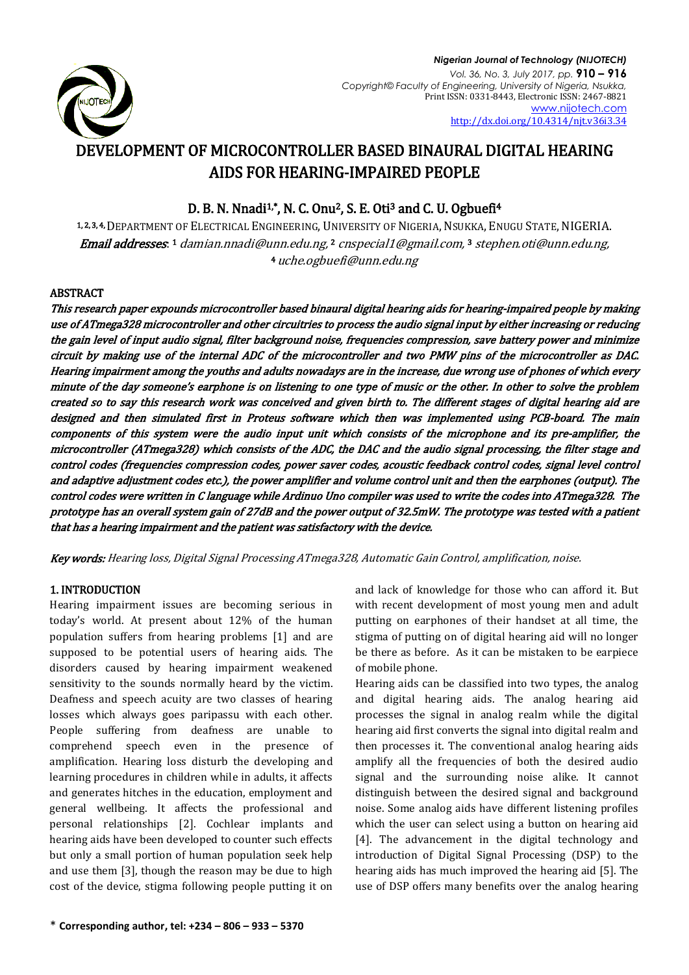

# DEVELOPMENT OF MICROCONTROLLER BASED BINAURAL DIGITAL HEARING AIDS FOR HEARING-IMPAIRED PEOPLE

# D. B. N. Nnadi<sup>1,\*</sup>, N. C. Onu<sup>2</sup>, S. E. Oti<sup>3</sup> and C. U. Ogbuefi<sup>4</sup>

1, 2, 3, 4, DEPARTMENT OF ELECTRICAL ENGINEERING, UNIVERSITY OF NIGERIA, NSUKKA, ENUGU STATE, NIGERIA. **Email addresses**. 1 [damian.nnadi@unn.edu.ng,](mailto:damian.nnadi@unn.edu.ng) 2 [cnspecial1@gmail.com,](mailto:cnspecial1@gmail.com) 3 stephen.oti@unn.edu.ng, <sup>4</sup> [uche.ogbuefi@unn.edu.ng](mailto:uche.ogbuefi@unn.edu.ng)

# ABSTRACT

This research paper expounds microcontroller based binaural digital hearing aids for hearing-impaired people by making use of ATmega328 microcontroller and other circuitries to process the audio signal input by either increasing or reducing the gain level of input audio signal, filter background noise, frequencies compression, save battery power and minimize circuit by making use of the internal ADC of the microcontroller and two PMW pins of the microcontroller as DAC. Hearing impairment among the youths and adults nowadays are in the increase, due wrong use of phones of which every minute of the day someone's earphone is on listening to one type of music or the other. In other to solve the problem created so to say this research work was conceived and given birth to. The different stages of digital hearing aid are designed and then simulated first in Proteus software which then was implemented using PCB-board. The main components of this system were the audio input unit which consists of the microphone and its pre-amplifier, the microcontroller (ATmega328) which consists of the ADC, the DAC and the audio signal processing, the filter stage and control codes (frequencies compression codes, power saver codes, acoustic feedback control codes, signal level control and adaptive adjustment codes etc.), the power amplifier and volume control unit and then the earphones (output). The control codes were written in C language while Ardinuo Uno compiler was used to write the codes into ATmega328. The prototype has an overall system gain of 27dB and the power output of 32.5mW. The prototype was tested with a patient that has a hearing impairment and the patient was satisfactory with the device.

Key words: Hearing loss, Digital Signal Processing ATmega328, Automatic Gain Control, amplification, noise.

# 1. INTRODUCTION

Hearing impairment issues are becoming serious in today's world. At present about 12% of the human population suffers from hearing problems [1] and are supposed to be potential users of hearing aids. The disorders caused by hearing impairment weakened sensitivity to the sounds normally heard by the victim. Deafness and speech acuity are two classes of hearing losses which always goes paripassu with each other. People suffering from deafness are unable to comprehend speech even in the presence of amplification. Hearing loss disturb the developing and learning procedures in children while in adults, it affects and generates hitches in the education, employment and general wellbeing. It affects the professional and personal relationships [2]. Cochlear implants and hearing aids have been developed to counter such effects but only a small portion of human population seek help and use them [3], though the reason may be due to high cost of the device, stigma following people putting it on

and lack of knowledge for those who can afford it. But with recent development of most young men and adult putting on earphones of their handset at all time, the stigma of putting on of digital hearing aid will no longer be there as before. As it can be mistaken to be earpiece of mobile phone.

Hearing aids can be classified into two types, the analog and digital hearing aids. The analog hearing aid processes the signal in analog realm while the digital hearing aid first converts the signal into digital realm and then processes it. The conventional analog hearing aids amplify all the frequencies of both the desired audio signal and the surrounding noise alike. It cannot distinguish between the desired signal and background noise. Some analog aids have different listening profiles which the user can select using a button on hearing aid [4]. The advancement in the digital technology and introduction of Digital Signal Processing (DSP) to the hearing aids has much improved the hearing aid [5]. The use of DSP offers many benefits over the analog hearing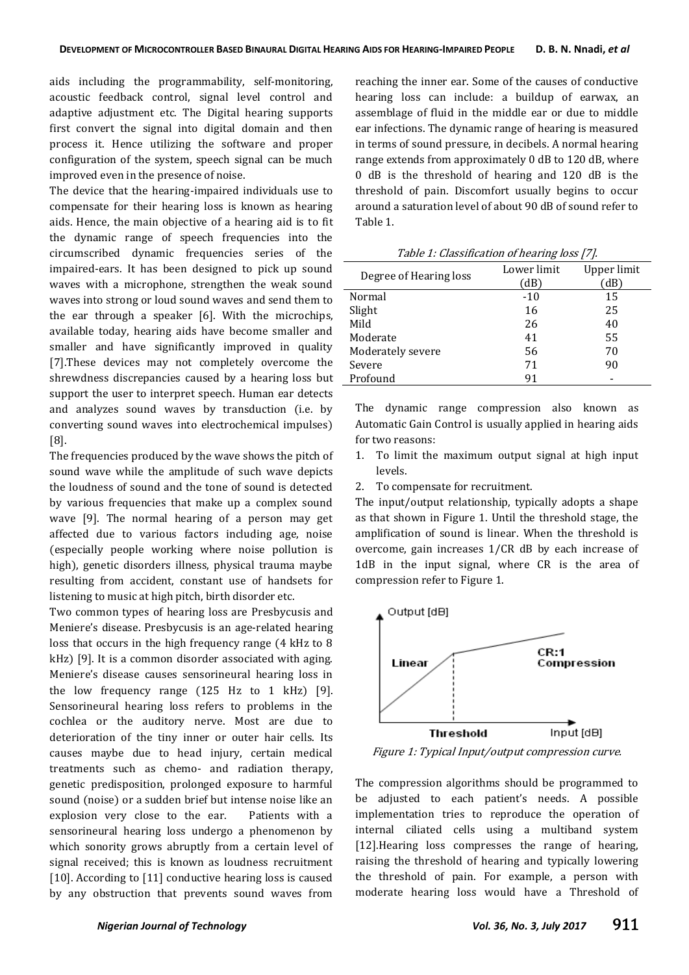aids including the programmability, self-monitoring, acoustic feedback control, signal level control and adaptive adjustment etc. The Digital hearing supports first convert the signal into digital domain and then process it. Hence utilizing the software and proper configuration of the system, speech signal can be much improved even in the presence of noise.

The device that the hearing-impaired individuals use to compensate for their hearing loss is known as hearing aids. Hence, the main objective of a hearing aid is to fit the dynamic range of speech frequencies into the circumscribed dynamic frequencies series of the impaired-ears. It has been designed to pick up sound waves with a microphone, strengthen the weak sound waves into strong or loud sound waves and send them to the ear through a speaker [6]. With the microchips, available today, hearing aids have become smaller and smaller and have significantly improved in quality [7].These devices may not completely overcome the shrewdness discrepancies caused by a hearing loss but support the user to interpret speech. Human ear detects and analyzes sound waves by transduction (i.e. by converting sound waves into electrochemical impulses) [8].

The frequencies produced by the wave shows the pitch of sound wave while the amplitude of such wave depicts the loudness of sound and the tone of sound is detected by various frequencies that make up a complex sound wave [9]. The normal hearing of a person may get affected due to various factors including age, noise (especially people working where noise pollution is high), genetic disorders illness, physical trauma maybe resulting from accident, constant use of handsets for listening to music at high pitch, birth disorder etc.

Two common types of hearing loss are Presbycusis and Meniere's disease. Presbycusis is an age-related hearing loss that occurs in the high frequency range (4 kHz to 8 kHz) [9]. It is a common disorder associated with aging. Meniere's disease causes sensorineural hearing loss in the low frequency range (125 Hz to 1 kHz) [9]. Sensorineural hearing loss refers to problems in the cochlea or the auditory nerve. Most are due to deterioration of the tiny inner or outer hair cells. Its causes maybe due to head injury, certain medical treatments such as chemo- and radiation therapy, genetic predisposition, prolonged exposure to harmful sound (noise) or a sudden brief but intense noise like an explosion very close to the ear. Patients with a sensorineural hearing loss undergo a phenomenon by which sonority grows abruptly from a certain level of signal received; this is known as loudness recruitment [10]. According to [11] conductive hearing loss is caused by any obstruction that prevents sound waves from

reaching the inner ear. Some of the causes of conductive hearing loss can include: a buildup of earwax, an assemblage of fluid in the middle ear or due to middle ear infections. The dynamic range of hearing is measured in terms of sound pressure, in decibels. A normal hearing range extends from approximately 0 dB to 120 dB, where 0 dB is the threshold of hearing and 120 dB is the threshold of pain. Discomfort usually begins to occur around a saturation level of about 90 dB of sound refer to Table 1.

| Degree of Hearing loss | Lower limit | Upper limit |
|------------------------|-------------|-------------|
|                        | 'dB)        | dB          |
| Normal                 | $-10$       | 15          |
| Slight                 | 16          | 25          |
| Mild                   | 26          | 40          |
| Moderate               | 41          | 55          |
| Moderately severe      | 56          | 70          |
| Severe                 | 71          | 90          |
| Profound               | 91          |             |

Table 1: Classification of hearing loss [7].

The dynamic range compression also known as Automatic Gain Control is usually applied in hearing aids for two reasons:

- 1. To limit the maximum output signal at high input levels.
- 2. To compensate for recruitment.

The input/output relationship, typically adopts a shape as that shown in Figure 1. Until the threshold stage, the amplification of sound is linear. When the threshold is overcome, gain increases 1/CR dB by each increase of 1dB in the input signal, where CR is the area of compression refer to Figure 1.



Figure 1: Typical Input/output compression curve.

The compression algorithms should be programmed to be adjusted to each patient's needs. A possible implementation tries to reproduce the operation of internal ciliated cells using a multiband system [12]. Hearing loss compresses the range of hearing, raising the threshold of hearing and typically lowering the threshold of pain. For example, a person with moderate hearing loss would have a Threshold of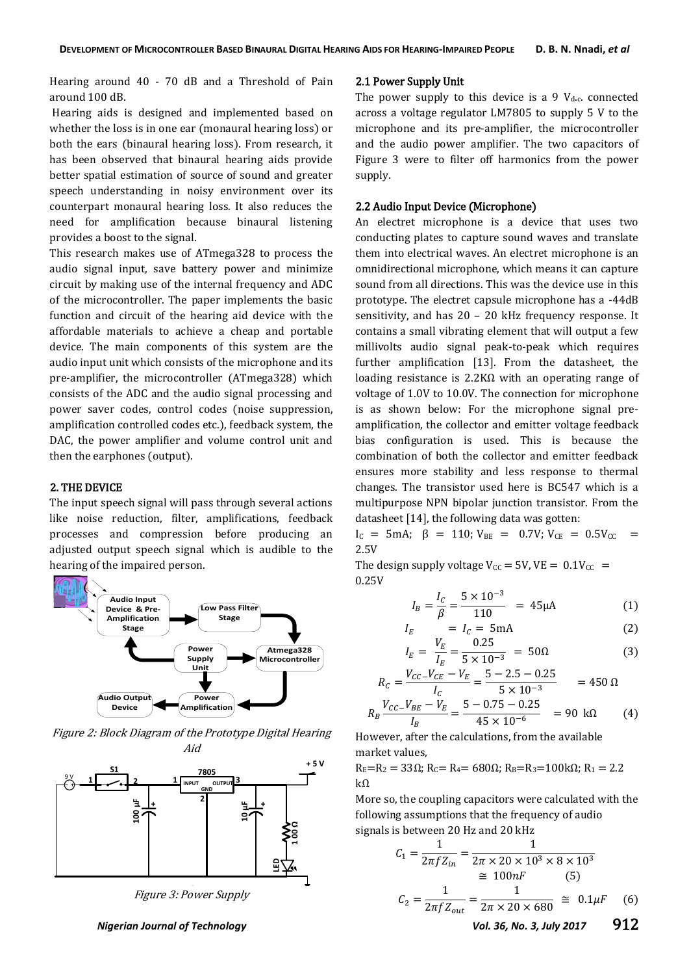Hearing around 40 - 70 dB and a Threshold of Pain around 100 dB.

Hearing aids is designed and implemented based on whether the loss is in one ear (monaural hearing loss) or both the ears (binaural hearing loss). From research, it has been observed that binaural hearing aids provide better spatial estimation of source of sound and greater speech understanding in noisy environment over its counterpart monaural hearing loss. It also reduces the need for amplification because binaural listening provides a boost to the signal.

This research makes use of ATmega328 to process the audio signal input, save battery power and minimize circuit by making use of the internal frequency and ADC of the microcontroller. The paper implements the basic function and circuit of the hearing aid device with the affordable materials to achieve a cheap and portable device. The main components of this system are the audio input unit which consists of the microphone and its pre-amplifier, the microcontroller (ATmega328) which consists of the ADC and the audio signal processing and power saver codes, control codes (noise suppression, amplification controlled codes etc.), feedback system, the DAC, the power amplifier and volume control unit and then the earphones (output).

#### 2. THE DEVICE

The input speech signal will pass through several actions like noise reduction, filter, amplifications, feedback processes and compression before producing an adjusted output speech signal which is audible to the hearing of the impaired person.



Figure 2: Block Diagram of the Prototype Digital Hearing Aid



#### *Nigerian Journal of Technology Vol. 36, No. 3, July 2017* 912

#### 2.1 Power Supply Unit

The power supply to this device is a 9  $V_{dc}$  connected across a voltage regulator LM7805 to supply 5 V to the microphone and its pre-amplifier, the microcontroller and the audio power amplifier. The two capacitors of Figure 3 were to filter off harmonics from the power supply.

#### 2.2 Audio Input Device (Microphone)

An electret microphone is a device that uses two conducting plates to capture sound waves and translate them into electrical waves. An electret microphone is an omnidirectional microphone, which means it can capture sound from all directions. This was the device use in this prototype. The electret capsule microphone has a -44dB sensitivity, and has 20 – 20 kHz frequency response. It contains a small vibrating element that will output a few millivolts audio signal peak-to-peak which requires further amplification [13]. From the datasheet, the loading resistance is 2.2KΩ with an operating range of voltage of 1.0V to 10.0V. The connection for microphone is as shown below: For the microphone signal preamplification, the collector and emitter voltage feedback bias configuration is used. This is because the combination of both the collector and emitter feedback ensures more stability and less response to thermal changes. The transistor used here is BC547 which is a multipurpose NPN bipolar junction transistor. From the datasheet [14], the following data was gotten:

 $I_C$  = 5mA; β = 110;  $V_{BE}$  = 0.7V;  $V_{CE}$  = 0.5V<sub>CC</sub> = 2.5V

The design supply voltage  $V_{\text{CC}} = 5V$ ,  $VE = 0.1V_{\text{CC}} =$ 0.25V

$$
I_B = \frac{I_C}{\beta} = \frac{5 \times 10^{-3}}{110} = 45 \mu\text{A}
$$
 (1)

$$
I_E = I_C = 5 \text{mA}
$$
 (2)

$$
I_E = \frac{V_E}{I_E} = \frac{0.25}{5 \times 10^{-3}} = 50\Omega
$$
 (3)

$$
R_C = \frac{V_{CC} - V_{CE} - V_E}{I_C} = \frac{5 - 2.5 - 0.25}{5 \times 10^{-3}} = 450 \text{ }\Omega
$$

$$
R_B \frac{V_{CC} - V_{BE} - V_E}{I_B} = \frac{5 - 0.75 - 0.25}{45 \times 10^{-6}} = 90 \text{ k}\Omega \tag{4}
$$

However, after the calculations, from the available market values,

 $R_E=R_2= 33\Omega$ ;  $R_C=R_4= 680\Omega$ ;  $R_B=R_3=100 k\Omega$ ;  $R_1 = 2.2$  $kΩ$ 

More so, the coupling capacitors were calculated with the following assumptions that the frequency of audio signals is between 20 Hz and 20 kHz

$$
C_1 = \frac{1}{2\pi f Z_{in}} = \frac{1}{2\pi \times 20 \times 10^3 \times 8 \times 10^3}
$$
  
\n
$$
\approx 100nF
$$
 (5)  
\n
$$
C_2 = \frac{1}{2\pi f Z_{out}} = \frac{1}{2\pi \times 20 \times 680} \approx 0.1 \mu F
$$
 (6)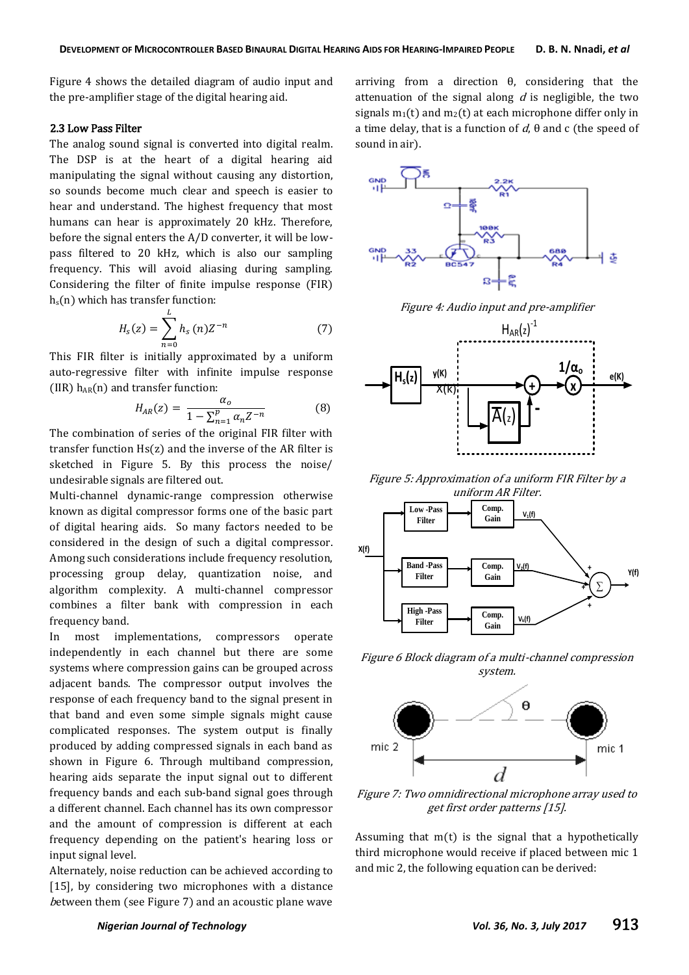Figure 4 shows the detailed diagram of audio input and the pre-amplifier stage of the digital hearing aid.

## 2.3 Low Pass Filter

The analog sound signal is converted into digital realm. The DSP is at the heart of a digital hearing aid manipulating the signal without causing any distortion, so sounds become much clear and speech is easier to hear and understand. The highest frequency that most humans can hear is approximately 20 kHz. Therefore, before the signal enters the A/D converter, it will be lowpass filtered to 20 kHz, which is also our sampling frequency. This will avoid aliasing during sampling. Considering the filter of finite impulse response (FIR)  $h_s(n)$  which has transfer function:

$$
H_s(z) = \sum_{n=0}^{L} h_s(n) Z^{-n}
$$
 (7)

This FIR filter is initially approximated by a uniform auto-regressive filter with infinite impulse response (IIR)  $h_{AR}(n)$  and transfer function:

$$
H_{AR}(z) = \frac{\alpha_o}{1 - \sum_{n=1}^{p} \alpha_n Z^{-n}}
$$
(8)

The combination of series of the original FIR filter with transfer function Hs(z) and the inverse of the AR filter is sketched in Figure 5. By this process the noise/ undesirable signals are filtered out.

Multi-channel dynamic-range compression otherwise known as digital compressor forms one of the basic part of digital hearing aids. So many factors needed to be considered in the design of such a digital compressor. Among such considerations include frequency resolution, processing group delay, quantization noise, and algorithm complexity. A multi-channel compressor combines a filter bank with compression in each frequency band.

In most implementations, compressors operate independently in each channel but there are some systems where compression gains can be grouped across adjacent bands. The compressor output involves the response of each frequency band to the signal present in that band and even some simple signals might cause complicated responses. The system output is finally produced by adding compressed signals in each band as shown in Figure 6. Through multiband compression, hearing aids separate the input signal out to different frequency bands and each sub-band signal goes through a different channel. Each channel has its own compressor and the amount of compression is different at each frequency depending on the patient's hearing loss or input signal level.

Alternately, noise reduction can be achieved according to [15], by considering two microphones with a distance between them (see Figure 7) and an acoustic plane wave

arriving from a direction θ, considering that the attenuation of the signal along  $d$  is negligible, the two signals  $m_1(t)$  and  $m_2(t)$  at each microphone differ only in a time delay, that is a function of  $d$ ,  $\theta$  and c (the speed of sound in air).



Figure 4: Audio input and pre-amplifier



Figure 5: Approximation of a uniform FIR Filter by a



Figure 6 Block diagram of a multi-channel compression system.



Figure 7: Two omnidirectional microphone array used to get first order patterns [15].

Assuming that  $m(t)$  is the signal that a hypothetically third microphone would receive if placed between mic 1 and mic 2, the following equation can be derived: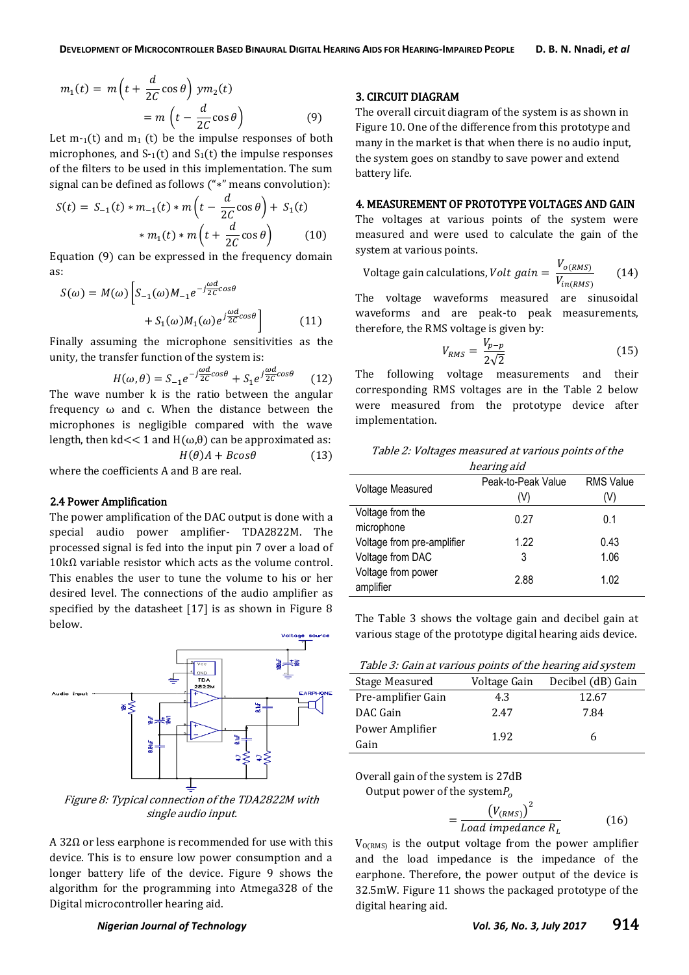$$
m_1(t) = m\left(t + \frac{d}{2C}\cos\theta\right) y m_2(t)
$$
  
= 
$$
m\left(t - \frac{d}{2C}\cos\theta\right)
$$
 (9)

Let  $m_{-1}(t)$  and  $m_1(t)$  be the impulse responses of both microphones, and  $S_1(t)$  and  $S_1(t)$  the impulse responses of the filters to be used in this implementation. The sum signal can be defined as follows ("\*" means convolution):

$$
S(t) = S_{-1}(t) * m_{-1}(t) * m\left(t - \frac{d}{2C}\cos\theta\right) + S_1(t)
$$

$$
* m_1(t) * m\left(t + \frac{d}{2C}\cos\theta\right) \tag{10}
$$

Equation (9) can be expressed in the frequency domain as:

$$
S(\omega) = M(\omega) \left[ S_{-1}(\omega) M_{-1} e^{-j\frac{\omega d}{2C} \cos \theta} + S_1(\omega) M_1(\omega) e^{j\frac{\omega d}{2C} \cos \theta} \right]
$$
(11)

Finally assuming the microphone sensitivities as the unity, the transfer function of the system is:

$$
H(\omega,\theta) = S_{-1}e^{-j\frac{\omega d}{2C}\cos\theta} + S_1e^{j\frac{\omega d}{2C}\cos\theta} \qquad (12)
$$

The wave number k is the ratio between the angular frequency ω and c. When the distance between the microphones is negligible compared with the wave length, then kd  $<< 1$  and H( $\omega$ , $\theta$ ) can be approximated as:

 $H(\theta)A + B\cos\theta$  (13)

where the coefficients A and B are real.

## 2.4 Power Amplification

The power amplification of the DAC output is done with a special audio power amplifier- TDA2822M. The processed signal is fed into the input pin 7 over a load of  $10$  kΩ variable resistor which acts as the volume control. This enables the user to tune the volume to his or her desired level. The connections of the audio amplifier as specified by the datasheet [17] is as shown in Figure 8 below.



Figure 8: Typical connection of the TDA2822M with single audio input.

A 2Ω or less earphone is recommended for use with this device. This is to ensure low power consumption and a longer battery life of the device. Figure 9 shows the algorithm for the programming into Atmega328 of the Digital microcontroller hearing aid.

## 3. CIRCUIT DIAGRAM

The overall circuit diagram of the system is as shown in Figure 10. One of the difference from this prototype and many in the market is that when there is no audio input, the system goes on standby to save power and extend battery life.

#### 4. MEASUREMENT OF PROTOTYPE VOLTAGES AND GAIN

The voltages at various points of the system were measured and were used to calculate the gain of the system at various points.

$$
Voltage gain calculations, Volt gain = \frac{V_{o(RMS)}}{V_{in(RMS)}}
$$
 (14)

The voltage waveforms measured are sinusoidal waveforms and are peak-to peak measurements, therefore, the RMS voltage is given by:

$$
V_{RMS} = \frac{V_{p-p}}{2\sqrt{2}}\tag{15}
$$

The following voltage measurements and their corresponding RMS voltages are in the Table 2 below were measured from the prototype device after implementation.

| Table 2: Voltages measured at various points of the |  |  |
|-----------------------------------------------------|--|--|
| hearing aid                                         |  |  |

| Voltage Measured           | Peak-to-Peak Value | <b>RMS Value</b> |
|----------------------------|--------------------|------------------|
|                            | (V)                | (V)              |
| Voltage from the           | 0.27               | 0.1              |
| microphone                 |                    |                  |
| Voltage from pre-amplifier | 1.22               | 0.43             |
| Voltage from DAC           | 3                  | 1.06             |
| Voltage from power         | 2.88               | 1.02             |
| amplifier                  |                    |                  |

The Table 3 shows the voltage gain and decibel gain at various stage of the prototype digital hearing aids device.

| Table 3: Gain at various points of the hearing aid system |  |  |
|-----------------------------------------------------------|--|--|
|                                                           |  |  |

| Stage Measured     | Voltage Gain | Decibel (dB) Gain |  |
|--------------------|--------------|-------------------|--|
| Pre-amplifier Gain | 4.3          | 12.67             |  |
| DAC Gain           | 2.47         | 7.84              |  |
| Power Amplifier    | 1.92         | h                 |  |
| Gain               |              |                   |  |

Overall gain of the system is 27dB

Output power of the system
$$
P_o
$$

$$
=\frac{\left(V_{(RMS)}\right)^2}{\text{Load impedance } R_L} \tag{16}
$$

 $V_{O(RMS)}$  is the output voltage from the power amplifier and the load impedance is the impedance of the earphone. Therefore, the power output of the device is 32.5mW. Figure 11 shows the packaged prototype of the digital hearing aid.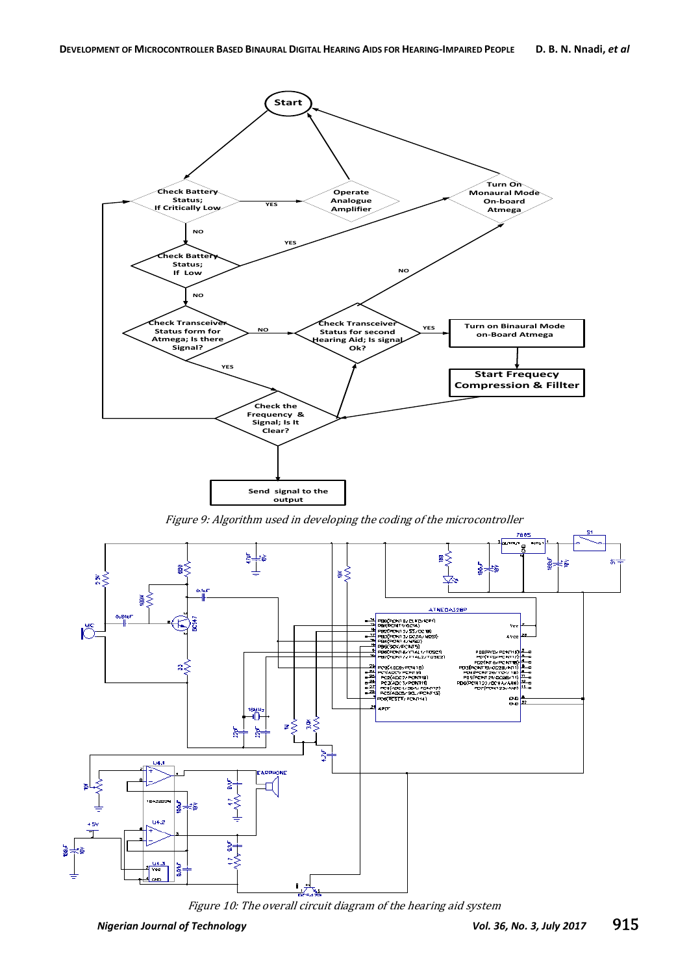

Figure 9: Algorithm used in developing the coding of the microcontroller



Figure 10: The overall circuit diagram of the hearing aid system